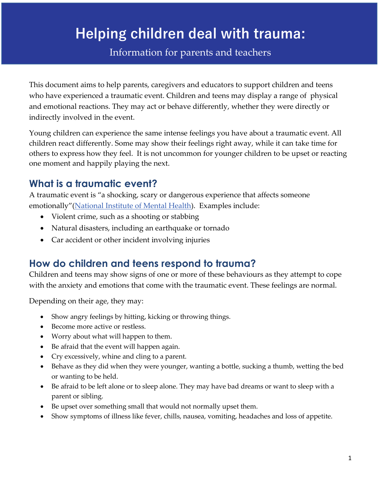# **Helping children deal with trauma:**

Information for parents and teachers

This document aims to help parents, caregivers and educators to support children and teens who have experienced a traumatic event. Children and teens may display a range of physical and emotional reactions. They may act or behave differently, whether they were directly or indirectly involved in the event.

Young children can experience the same intense feelings you have about a traumatic event. All children react differently. Some may show their feelings right away, while it can take time for others to express how they feel. It is not uncommon for younger children to be upset or reacting one moment and happily playing the next.

# **What is a traumatic event?**

A traumatic event is "a shocking, scary or dangerous experience that affects someone emotionally"[\(National Institute of Mental Health\)](https://www.nimh.nih.gov/health/topics/coping-with-traumatic-events/index.shtml). Examples include:

- Violent crime, such as a shooting or stabbing
- Natural disasters, including an earthquake or tornado
- Car accident or other incident involving injuries

# **How do children and teens respond to trauma?**

Children and teens may show signs of one or more of these behaviours as they attempt to cope with the anxiety and emotions that come with the traumatic event. These feelings are normal.

Depending on their age, they may:

- Show angry feelings by hitting, kicking or throwing things.
- Become more active or restless.
- Worry about what will happen to them.
- Be afraid that the event will happen again.
- Cry excessively, whine and cling to a parent.
- Behave as they did when they were younger, wanting a bottle, sucking a thumb, wetting the bed or wanting to be held.
- Be afraid to be left alone or to sleep alone. They may have bad dreams or want to sleep with a parent or sibling.
- Be upset over something small that would not normally upset them.
- Show symptoms of illness like fever, chills, nausea, vomiting, headaches and loss of appetite.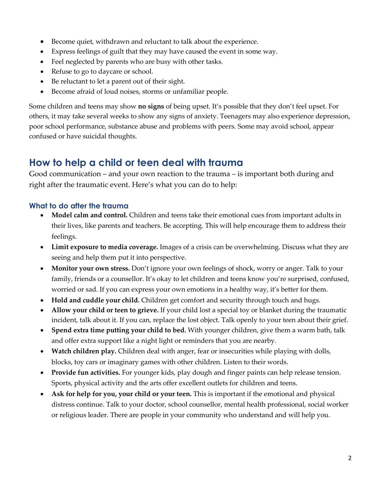- Become quiet, withdrawn and reluctant to talk about the experience.
- Express feelings of guilt that they may have caused the event in some way.
- Feel neglected by parents who are busy with other tasks.
- Refuse to go to daycare or school.
- Be reluctant to let a parent out of their sight.
- Become afraid of loud noises, storms or unfamiliar people.

Some children and teens may show **no signs** of being upset. It's possible that they don't feel upset. For others, it may take several weeks to show any signs of anxiety. Teenagers may also experience depression, poor school performance, substance abuse and problems with peers. Some may avoid school, appear confused or have suicidal thoughts.

## **How to help a child or teen deal with trauma**

Good communication – and your own reaction to the trauma – is important both during and right after the traumatic event. Here's what you can do to help:

#### **What to do after the trauma**

- **Model calm and control.** Children and teens take their emotional cues from important adults in their lives, like parents and teachers. Be accepting. This will help encourage them to address their feelings.
- **Limit exposure to media coverage.** Images of a crisis can be overwhelming. Discuss what they are seeing and help them put it into perspective.
- Monitor your own stress. Don't ignore your own feelings of shock, worry or anger. Talk to your family, friends or a counsellor. It's okay to let children and teens know you're surprised, confused, worried or sad. If you can express your own emotions in a healthy way, it's better for them.
- **Hold and cuddle your child.** Children get comfort and security through touch and hugs.
- **Allow your child or teen to grieve.** If your child lost a special toy or blanket during the traumatic incident, talk about it. If you can, replace the lost object. Talk openly to your teen about their grief.
- **Spend extra time putting your child to bed.** With younger children, give them a warm bath, talk and offer extra support like a night light or reminders that you are nearby.
- **Watch children play.** Children deal with anger, fear or insecurities while playing with dolls, blocks, toy cars or imaginary games with other children. Listen to their words.
- **Provide fun activities.** For younger kids, play dough and finger paints can help release tension. Sports, physical activity and the arts offer excellent outlets for children and teens.
- **Ask for help for you, your child or your teen.** This is important if the emotional and physical distress continue. Talk to your doctor, school counsellor, mental health professional, social worker or religious leader. There are people in your community who understand and will help you.